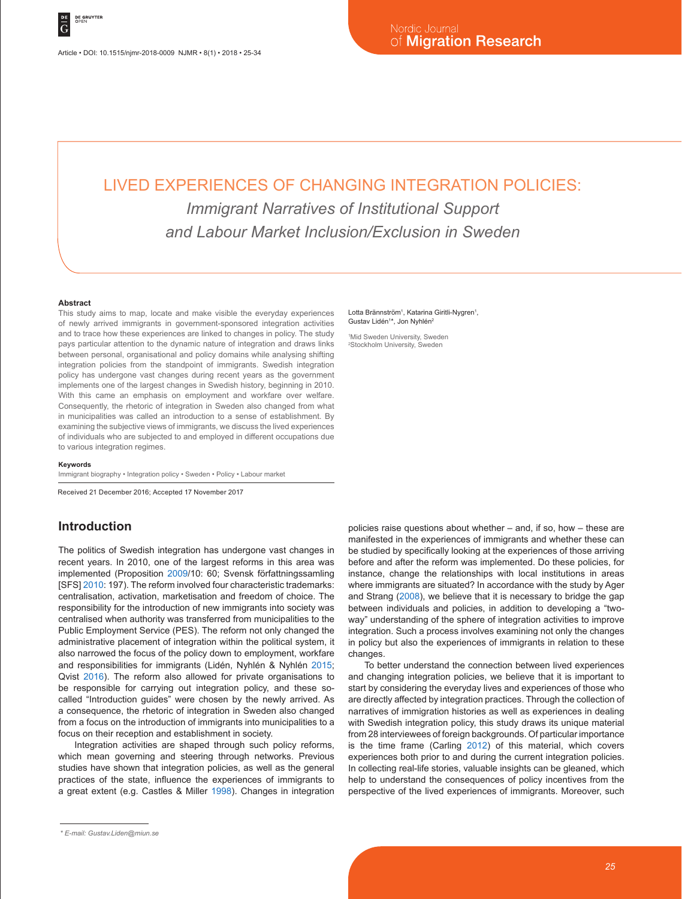Article • DOI: 10.1515/njmr-2018-0009 NJMR • 8(1) • 2018 • 25-34

# LIVED EXPERIENCES OF CHANGING INTEGRATION POLICIES: *Immigrant Narratives of Institutional Support and Labour Market Inclusion/Exclusion in Sweden*

#### **Abstract**

This study aims to map, locate and make visible the everyday experiences of newly arrived immigrants in government-sponsored integration activities and to trace how these experiences are linked to changes in policy. The study pays particular attention to the dynamic nature of integration and draws links between personal, organisational and policy domains while analysing shifting integration policies from the standpoint of immigrants. Swedish integration policy has undergone vast changes during recent years as the government implements one of the largest changes in Swedish history, beginning in 2010. With this came an emphasis on employment and workfare over welfare. Consequently, the rhetoric of integration in Sweden also changed from what in municipalities was called an introduction to a sense of establishment. By examining the subjective views of immigrants, we discuss the lived experiences of individuals who are subjected to and employed in different occupations due to various integration regimes.

#### **Keywords**

Immigrant biography • Integration policy • Sweden • Policy • Labour market

Received 21 December 2016; Accepted 17 November 2017

#### **Introduction**

The politics of Swedish integration has undergone vast changes in recent years. In 2010, one of the largest reforms in this area was implemented (Proposition 2009/10: 60; Svensk författningssamling [SFS] 2010: 197). The reform involved four characteristic trademarks: centralisation, activation, marketisation and freedom of choice. The responsibility for the introduction of new immigrants into society was centralised when authority was transferred from municipalities to the Public Employment Service (PES). The reform not only changed the administrative placement of integration within the political system, it also narrowed the focus of the policy down to employment, workfare and responsibilities for immigrants (Lidén, Nyhlén & Nyhlén 2015; Qvist 2016). The reform also allowed for private organisations to be responsible for carrying out integration policy, and these socalled "Introduction guides" were chosen by the newly arrived. As a consequence, the rhetoric of integration in Sweden also changed from a focus on the introduction of immigrants into municipalities to a focus on their reception and establishment in society.

Integration activities are shaped through such policy reforms, which mean governing and steering through networks. Previous studies have shown that integration policies, as well as the general practices of the state, influence the experiences of immigrants to a great extent (e.g. Castles & Miller 1998). Changes in integration

#### Lotta Brännström<sup>1</sup>, Katarina Giritli-Nygren<sup>1</sup>, Gustav Lidén<sup>1\*</sup>, Jon Nyhlén<sup>2</sup>

1 Mid Sweden University, Sweden 2 Stockholm University, Sweden

policies raise questions about whether – and, if so, how – these are manifested in the experiences of immigrants and whether these can be studied by specifically looking at the experiences of those arriving before and after the reform was implemented. Do these policies, for instance, change the relationships with local institutions in areas where immigrants are situated? In accordance with the study by Ager and Strang (2008), we believe that it is necessary to bridge the gap between individuals and policies, in addition to developing a "twoway" understanding of the sphere of integration activities to improve integration. Such a process involves examining not only the changes in policy but also the experiences of immigrants in relation to these changes.

To better understand the connection between lived experiences and changing integration policies, we believe that it is important to start by considering the everyday lives and experiences of those who are directly affected by integration practices. Through the collection of narratives of immigration histories as well as experiences in dealing with Swedish integration policy, this study draws its unique material from 28 interviewees of foreign backgrounds. Of particular importance is the time frame (Carling 2012) of this material, which covers experiences both prior to and during the current integration policies. In collecting real-life stories, valuable insights can be gleaned, which help to understand the consequences of policy incentives from the perspective of the lived experiences of immigrants. Moreover, such

*<sup>\*</sup> E-mail: Gustav.Liden@miun.se*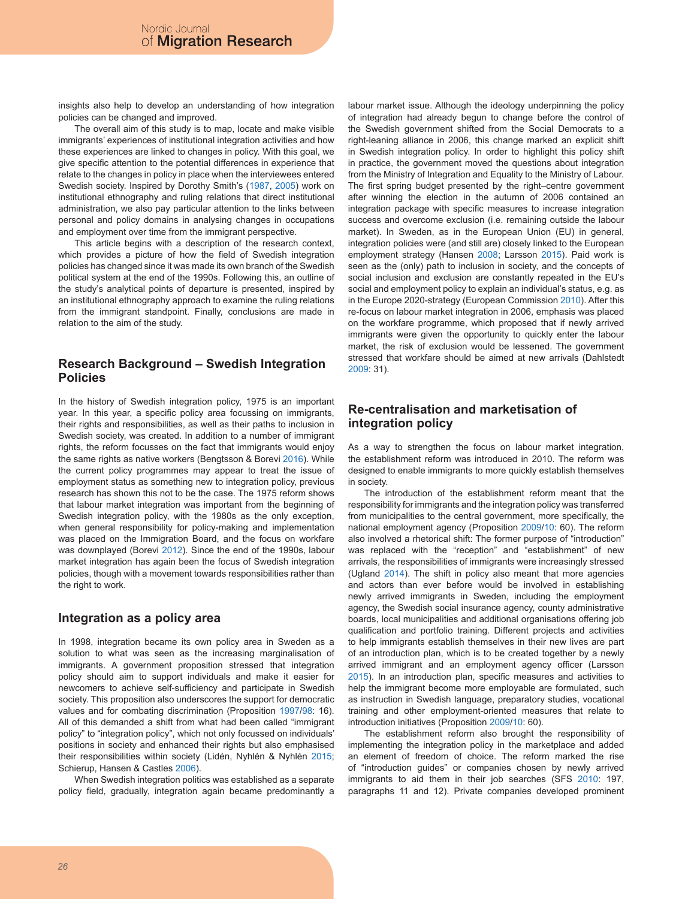insights also help to develop an understanding of how integration policies can be changed and improved.

The overall aim of this study is to map, locate and make visible immigrants' experiences of institutional integration activities and how these experiences are linked to changes in policy. With this goal, we give specific attention to the potential differences in experience that relate to the changes in policy in place when the interviewees entered Swedish society. Inspired by Dorothy Smith's (1987, 2005) work on institutional ethnography and ruling relations that direct institutional administration, we also pay particular attention to the links between personal and policy domains in analysing changes in occupations and employment over time from the immigrant perspective.

This article begins with a description of the research context. which provides a picture of how the field of Swedish integration policies has changed since it was made its own branch of the Swedish political system at the end of the 1990s. Following this, an outline of the study's analytical points of departure is presented, inspired by an institutional ethnography approach to examine the ruling relations from the immigrant standpoint. Finally, conclusions are made in relation to the aim of the study.

# **Research Background – Swedish Integration Policies**

In the history of Swedish integration policy, 1975 is an important year. In this year, a specific policy area focussing on immigrants, their rights and responsibilities, as well as their paths to inclusion in Swedish society, was created. In addition to a number of immigrant rights, the reform focusses on the fact that immigrants would enjoy the same rights as native workers (Bengtsson & Borevi 2016). While the current policy programmes may appear to treat the issue of employment status as something new to integration policy, previous research has shown this not to be the case. The 1975 reform shows that labour market integration was important from the beginning of Swedish integration policy, with the 1980s as the only exception, when general responsibility for policy-making and implementation was placed on the Immigration Board, and the focus on workfare was downplayed (Borevi 2012). Since the end of the 1990s, labour market integration has again been the focus of Swedish integration policies, though with a movement towards responsibilities rather than the right to work.

#### **Integration as a policy area**

In 1998, integration became its own policy area in Sweden as a solution to what was seen as the increasing marginalisation of immigrants. A government proposition stressed that integration policy should aim to support individuals and make it easier for newcomers to achieve self-sufficiency and participate in Swedish society. This proposition also underscores the support for democratic values and for combating discrimination (Proposition 1997/98: 16). All of this demanded a shift from what had been called "immigrant policy" to "integration policy", which not only focussed on individuals' positions in society and enhanced their rights but also emphasised their responsibilities within society (Lidén, Nyhlén & Nyhlén 2015; Schierup, Hansen & Castles 2006).

When Swedish integration politics was established as a separate policy field, gradually, integration again became predominantly a labour market issue. Although the ideology underpinning the policy of integration had already begun to change before the control of the Swedish government shifted from the Social Democrats to a right-leaning alliance in 2006, this change marked an explicit shift in Swedish integration policy. In order to highlight this policy shift in practice, the government moved the questions about integration from the Ministry of Integration and Equality to the Ministry of Labour. The first spring budget presented by the right–centre government after winning the election in the autumn of 2006 contained an integration package with specific measures to increase integration success and overcome exclusion (i.e. remaining outside the labour market). In Sweden, as in the European Union (EU) in general, integration policies were (and still are) closely linked to the European employment strategy (Hansen 2008; Larsson 2015). Paid work is seen as the (only) path to inclusion in society, and the concepts of social inclusion and exclusion are constantly repeated in the EU's social and employment policy to explain an individual's status, e.g. as in the Europe 2020-strategy (European Commission 2010). After this re-focus on labour market integration in 2006, emphasis was placed on the workfare programme, which proposed that if newly arrived immigrants were given the opportunity to quickly enter the labour market, the risk of exclusion would be lessened. The government stressed that workfare should be aimed at new arrivals (Dahlstedt 2009: 31).

# **Re-centralisation and marketisation of integration policy**

As a way to strengthen the focus on labour market integration, the establishment reform was introduced in 2010. The reform was designed to enable immigrants to more quickly establish themselves in society.

The introduction of the establishment reform meant that the responsibility for immigrants and the integration policy was transferred from municipalities to the central government, more specifically, the national employment agency (Proposition 2009/10: 60). The reform also involved a rhetorical shift: The former purpose of "introduction" was replaced with the "reception" and "establishment" of new arrivals, the responsibilities of immigrants were increasingly stressed (Ugland 2014). The shift in policy also meant that more agencies and actors than ever before would be involved in establishing newly arrived immigrants in Sweden, including the employment agency, the Swedish social insurance agency, county administrative boards, local municipalities and additional organisations offering job qualification and portfolio training. Different projects and activities to help immigrants establish themselves in their new lives are part of an introduction plan, which is to be created together by a newly arrived immigrant and an employment agency officer (Larsson 2015). In an introduction plan, specific measures and activities to help the immigrant become more employable are formulated, such as instruction in Swedish language, preparatory studies, vocational training and other employment-oriented measures that relate to introduction initiatives (Proposition 2009/10: 60).

The establishment reform also brought the responsibility of implementing the integration policy in the marketplace and added an element of freedom of choice. The reform marked the rise of "introduction guides" or companies chosen by newly arrived immigrants to aid them in their job searches (SFS 2010: 197, paragraphs 11 and 12). Private companies developed prominent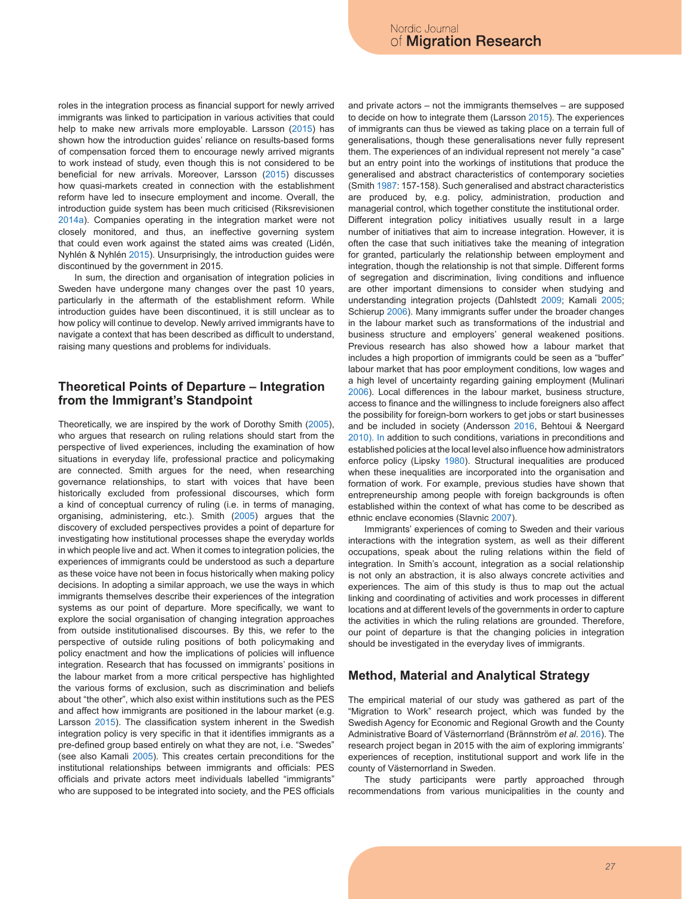roles in the integration process as financial support for newly arrived immigrants was linked to participation in various activities that could help to make new arrivals more employable. Larsson (2015) has shown how the introduction guides' reliance on results-based forms of compensation forced them to encourage newly arrived migrants to work instead of study, even though this is not considered to be beneficial for new arrivals. Moreover, Larsson (2015) discusses how quasi-markets created in connection with the establishment reform have led to insecure employment and income. Overall, the introduction guide system has been much criticised (Riksrevisionen 2014a). Companies operating in the integration market were not closely monitored, and thus, an ineffective governing system that could even work against the stated aims was created (Lidén, Nyhlén & Nyhlén 2015). Unsurprisingly, the introduction guides were discontinued by the government in 2015.

In sum, the direction and organisation of integration policies in Sweden have undergone many changes over the past 10 years, particularly in the aftermath of the establishment reform. While introduction guides have been discontinued, it is still unclear as to how policy will continue to develop. Newly arrived immigrants have to navigate a context that has been described as difficult to understand, raising many questions and problems for individuals.

### **Theoretical Points of Departure – Integration from the Immigrant's Standpoint**

Theoretically, we are inspired by the work of Dorothy Smith (2005), who argues that research on ruling relations should start from the perspective of lived experiences, including the examination of how situations in everyday life, professional practice and policymaking are connected. Smith argues for the need, when researching governance relationships, to start with voices that have been historically excluded from professional discourses, which form a kind of conceptual currency of ruling (i.e. in terms of managing, organising, administering, etc.). Smith (2005) argues that the discovery of excluded perspectives provides a point of departure for investigating how institutional processes shape the everyday worlds in which people live and act. When it comes to integration policies, the experiences of immigrants could be understood as such a departure as these voice have not been in focus historically when making policy decisions. In adopting a similar approach, we use the ways in which immigrants themselves describe their experiences of the integration systems as our point of departure. More specifically, we want to explore the social organisation of changing integration approaches from outside institutionalised discourses. By this, we refer to the perspective of outside ruling positions of both policymaking and policy enactment and how the implications of policies will influence integration. Research that has focussed on immigrants' positions in the labour market from a more critical perspective has highlighted the various forms of exclusion, such as discrimination and beliefs about "the other", which also exist within institutions such as the PES and affect how immigrants are positioned in the labour market (e.g. Larsson 2015). The classification system inherent in the Swedish integration policy is very specific in that it identifies immigrants as a pre-defined group based entirely on what they are not, i.e. "Swedes" (see also Kamali 2005). This creates certain preconditions for the institutional relationships between immigrants and officials: PES officials and private actors meet individuals labelled "immigrants" who are supposed to be integrated into society, and the PES officials

and private actors – not the immigrants themselves – are supposed to decide on how to integrate them (Larsson 2015). The experiences of immigrants can thus be viewed as taking place on a terrain full of generalisations, though these generalisations never fully represent them. The experiences of an individual represent not merely "a case" but an entry point into the workings of institutions that produce the generalised and abstract characteristics of contemporary societies (Smith 1987: 157-158). Such generalised and abstract characteristics are produced by, e.g. policy, administration, production and managerial control, which together constitute the institutional order. Different integration policy initiatives usually result in a large number of initiatives that aim to increase integration. However, it is often the case that such initiatives take the meaning of integration for granted, particularly the relationship between employment and integration, though the relationship is not that simple. Different forms of segregation and discrimination, living conditions and influence are other important dimensions to consider when studying and understanding integration projects (Dahlstedt 2009; Kamali 2005; Schierup 2006). Many immigrants suffer under the broader changes in the labour market such as transformations of the industrial and business structure and employers' general weakened positions. Previous research has also showed how a labour market that includes a high proportion of immigrants could be seen as a "buffer" labour market that has poor employment conditions, low wages and a high level of uncertainty regarding gaining employment (Mulinari 2006). Local differences in the labour market, business structure, access to finance and the willingness to include foreigners also affect the possibility for foreign-born workers to get jobs or start businesses and be included in society (Andersson 2016, Behtoui & Neergard 2010). In addition to such conditions, variations in preconditions and established policies at the local level also influence how administrators enforce policy (Lipsky 1980). Structural inequalities are produced when these inequalities are incorporated into the organisation and formation of work. For example, previous studies have shown that entrepreneurship among people with foreign backgrounds is often established within the context of what has come to be described as ethnic enclave economies (Slavnic 2007).

Immigrants' experiences of coming to Sweden and their various interactions with the integration system, as well as their different occupations, speak about the ruling relations within the field of integration. In Smith's account, integration as a social relationship is not only an abstraction, it is also always concrete activities and experiences. The aim of this study is thus to map out the actual linking and coordinating of activities and work processes in different locations and at different levels of the governments in order to capture the activities in which the ruling relations are grounded. Therefore, our point of departure is that the changing policies in integration should be investigated in the everyday lives of immigrants.

#### **Method, Material and Analytical Strategy**

The empirical material of our study was gathered as part of the "Migration to Work" research project, which was funded by the Swedish Agency for Economic and Regional Growth and the County Administrative Board of Västernorrland (Brännström *et al*. 2016). The research project began in 2015 with the aim of exploring immigrants' experiences of reception, institutional support and work life in the county of Västernorrland in Sweden.

The study participants were partly approached through recommendations from various municipalities in the county and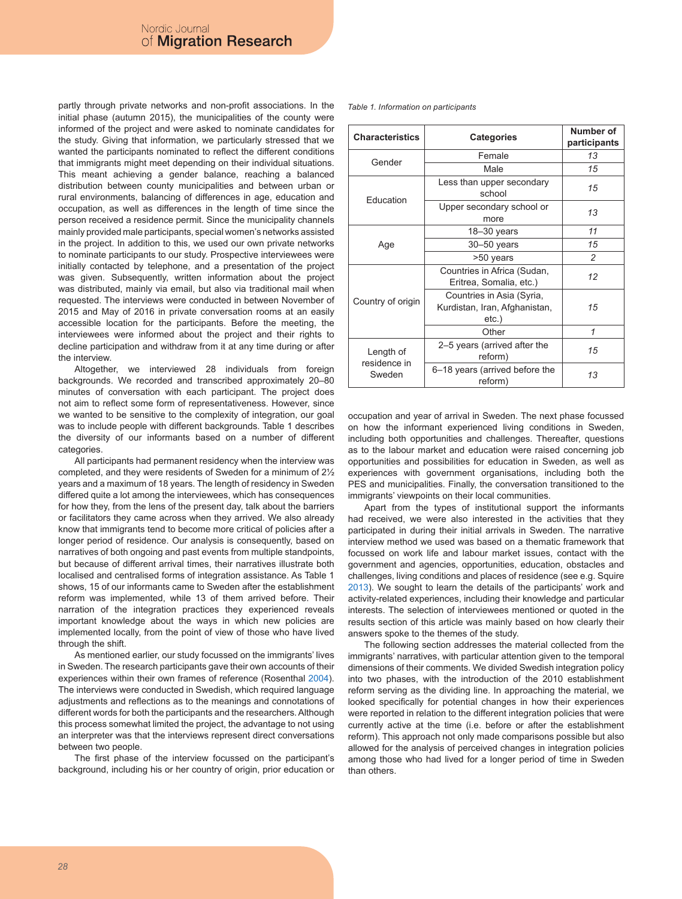partly through private networks and non-profit associations. In the initial phase (autumn 2015), the municipalities of the county were informed of the project and were asked to nominate candidates for the study. Giving that information, we particularly stressed that we wanted the participants nominated to reflect the different conditions that immigrants might meet depending on their individual situations. This meant achieving a gender balance, reaching a balanced distribution between county municipalities and between urban or rural environments, balancing of differences in age, education and occupation, as well as differences in the length of time since the person received a residence permit. Since the municipality channels mainly provided male participants, special women's networks assisted in the project. In addition to this, we used our own private networks to nominate participants to our study. Prospective interviewees were initially contacted by telephone, and a presentation of the project was given. Subsequently, written information about the project was distributed, mainly via email, but also via traditional mail when requested. The interviews were conducted in between November of 2015 and May of 2016 in private conversation rooms at an easily accessible location for the participants. Before the meeting, the interviewees were informed about the project and their rights to decline participation and withdraw from it at any time during or after the interview.

Altogether, we interviewed 28 individuals from foreign backgrounds. We recorded and transcribed approximately 20–80 minutes of conversation with each participant. The project does not aim to reflect some form of representativeness. However, since we wanted to be sensitive to the complexity of integration, our goal was to include people with different backgrounds. Table 1 describes the diversity of our informants based on a number of different categories.

All participants had permanent residency when the interview was completed, and they were residents of Sweden for a minimum of 2½ years and a maximum of 18 years. The length of residency in Sweden differed quite a lot among the interviewees, which has consequences for how they, from the lens of the present day, talk about the barriers or facilitators they came across when they arrived. We also already know that immigrants tend to become more critical of policies after a longer period of residence. Our analysis is consequently, based on narratives of both ongoing and past events from multiple standpoints, but because of different arrival times, their narratives illustrate both localised and centralised forms of integration assistance. As Table 1 shows, 15 of our informants came to Sweden after the establishment reform was implemented, while 13 of them arrived before. Their narration of the integration practices they experienced reveals important knowledge about the ways in which new policies are implemented locally, from the point of view of those who have lived through the shift.

As mentioned earlier, our study focussed on the immigrants' lives in Sweden. The research participants gave their own accounts of their experiences within their own frames of reference (Rosenthal 2004). The interviews were conducted in Swedish, which required language adjustments and reflections as to the meanings and connotations of different words for both the participants and the researchers. Although this process somewhat limited the project, the advantage to not using an interpreter was that the interviews represent direct conversations between two people.

The first phase of the interview focussed on the participant's background, including his or her country of origin, prior education or *Table 1. Information on participants*

| <b>Characteristics</b>              | <b>Categories</b>                                                   | Number of<br>participants |
|-------------------------------------|---------------------------------------------------------------------|---------------------------|
| Gender                              | Female                                                              | 13                        |
|                                     | Male                                                                | 15                        |
| Education                           | Less than upper secondary<br>school                                 | 15                        |
|                                     | Upper secondary school or<br>more                                   | 13                        |
| Age                                 | $18 - 30$ years                                                     | 11                        |
|                                     | $30 - 50$ years                                                     | 15                        |
|                                     | >50 years                                                           | $\mathfrak{p}$            |
| Country of origin                   | Countries in Africa (Sudan,<br>Eritrea, Somalia, etc.)              | 12                        |
|                                     | Countries in Asia (Syria,<br>Kurdistan, Iran, Afghanistan,<br>etc.) | 15                        |
|                                     | Other                                                               | 1                         |
| Length of<br>residence in<br>Sweden | 2-5 years (arrived after the<br>reform)                             | 15                        |
|                                     | 6-18 years (arrived before the<br>reform)                           | 13                        |

occupation and year of arrival in Sweden. The next phase focussed on how the informant experienced living conditions in Sweden, including both opportunities and challenges. Thereafter, questions as to the labour market and education were raised concerning job opportunities and possibilities for education in Sweden, as well as experiences with government organisations, including both the PES and municipalities. Finally, the conversation transitioned to the immigrants' viewpoints on their local communities.

Apart from the types of institutional support the informants had received, we were also interested in the activities that they participated in during their initial arrivals in Sweden. The narrative interview method we used was based on a thematic framework that focussed on work life and labour market issues, contact with the government and agencies, opportunities, education, obstacles and challenges, living conditions and places of residence (see e.g. Squire 2013). We sought to learn the details of the participants' work and activity-related experiences, including their knowledge and particular interests. The selection of interviewees mentioned or quoted in the results section of this article was mainly based on how clearly their answers spoke to the themes of the study.

The following section addresses the material collected from the immigrants' narratives, with particular attention given to the temporal dimensions of their comments. We divided Swedish integration policy into two phases, with the introduction of the 2010 establishment reform serving as the dividing line. In approaching the material, we looked specifically for potential changes in how their experiences were reported in relation to the different integration policies that were currently active at the time (i.e. before or after the establishment reform). This approach not only made comparisons possible but also allowed for the analysis of perceived changes in integration policies among those who had lived for a longer period of time in Sweden than others.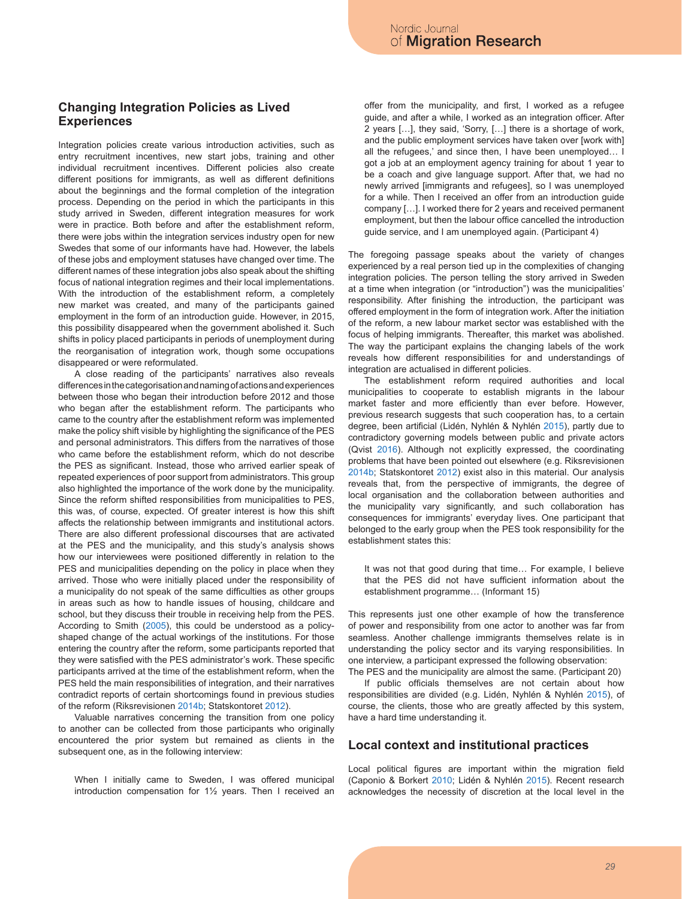#### **Changing Integration Policies as Lived Experiences**

Integration policies create various introduction activities, such as entry recruitment incentives, new start jobs, training and other individual recruitment incentives. Different policies also create different positions for immigrants, as well as different definitions about the beginnings and the formal completion of the integration process. Depending on the period in which the participants in this study arrived in Sweden, different integration measures for work were in practice. Both before and after the establishment reform, there were jobs within the integration services industry open for new Swedes that some of our informants have had. However, the labels of these jobs and employment statuses have changed over time. The different names of these integration jobs also speak about the shifting focus of national integration regimes and their local implementations. With the introduction of the establishment reform, a completely new market was created, and many of the participants gained employment in the form of an introduction guide. However, in 2015, this possibility disappeared when the government abolished it. Such shifts in policy placed participants in periods of unemployment during the reorganisation of integration work, though some occupations disappeared or were reformulated.

A close reading of the participants' narratives also reveals differences in the categorisation and naming of actions and experiences between those who began their introduction before 2012 and those who began after the establishment reform. The participants who came to the country after the establishment reform was implemented make the policy shift visible by highlighting the significance of the PES and personal administrators. This differs from the narratives of those who came before the establishment reform, which do not describe the PES as significant. Instead, those who arrived earlier speak of repeated experiences of poor support from administrators. This group also highlighted the importance of the work done by the municipality. Since the reform shifted responsibilities from municipalities to PES, this was, of course, expected. Of greater interest is how this shift affects the relationship between immigrants and institutional actors. There are also different professional discourses that are activated at the PES and the municipality, and this study's analysis shows how our interviewees were positioned differently in relation to the PES and municipalities depending on the policy in place when they arrived. Those who were initially placed under the responsibility of a municipality do not speak of the same difficulties as other groups in areas such as how to handle issues of housing, childcare and school, but they discuss their trouble in receiving help from the PES. According to Smith (2005), this could be understood as a policyshaped change of the actual workings of the institutions. For those entering the country after the reform, some participants reported that they were satisfied with the PES administrator's work. These specific participants arrived at the time of the establishment reform, when the PES held the main responsibilities of integration, and their narratives contradict reports of certain shortcomings found in previous studies of the reform (Riksrevisionen 2014b; Statskontoret 2012).

Valuable narratives concerning the transition from one policy to another can be collected from those participants who originally encountered the prior system but remained as clients in the subsequent one, as in the following interview:

When I initially came to Sweden, I was offered municipal introduction compensation for 1½ years. Then I received an offer from the municipality, and first, I worked as a refugee guide, and after a while, I worked as an integration officer. After 2 years […], they said, 'Sorry, […] there is a shortage of work, and the public employment services have taken over [work with] all the refugees,' and since then, I have been unemployed… I got a job at an employment agency training for about 1 year to be a coach and give language support. After that, we had no newly arrived [immigrants and refugees], so I was unemployed for a while. Then I received an offer from an introduction guide company […]. I worked there for 2 years and received permanent employment, but then the labour office cancelled the introduction guide service, and I am unemployed again. (Participant 4)

The foregoing passage speaks about the variety of changes experienced by a real person tied up in the complexities of changing integration policies. The person telling the story arrived in Sweden at a time when integration (or "introduction") was the municipalities' responsibility. After finishing the introduction, the participant was offered employment in the form of integration work. After the initiation of the reform, a new labour market sector was established with the focus of helping immigrants. Thereafter, this market was abolished. The way the participant explains the changing labels of the work reveals how different responsibilities for and understandings of integration are actualised in different policies.

The establishment reform required authorities and local municipalities to cooperate to establish migrants in the labour market faster and more efficiently than ever before. However, previous research suggests that such cooperation has, to a certain degree, been artificial (Lidén, Nyhlén & Nyhlén 2015), partly due to contradictory governing models between public and private actors (Qvist 2016). Although not explicitly expressed, the coordinating problems that have been pointed out elsewhere (e.g. Riksrevisionen 2014b; Statskontoret 2012) exist also in this material. Our analysis reveals that, from the perspective of immigrants, the degree of local organisation and the collaboration between authorities and the municipality vary significantly, and such collaboration has consequences for immigrants' everyday lives. One participant that belonged to the early group when the PES took responsibility for the establishment states this:

It was not that good during that time… For example, I believe that the PES did not have sufficient information about the establishment programme… (Informant 15)

This represents just one other example of how the transference of power and responsibility from one actor to another was far from seamless. Another challenge immigrants themselves relate is in understanding the policy sector and its varying responsibilities. In one interview, a participant expressed the following observation: The PES and the municipality are almost the same. (Participant 20)

If public officials themselves are not certain about how responsibilities are divided (e.g. Lidén, Nyhlén & Nyhlén 2015), of course, the clients, those who are greatly affected by this system, have a hard time understanding it.

#### **Local context and institutional practices**

Local political figures are important within the migration field (Caponio & Borkert 2010; Lidén & Nyhlén 2015). Recent research acknowledges the necessity of discretion at the local level in the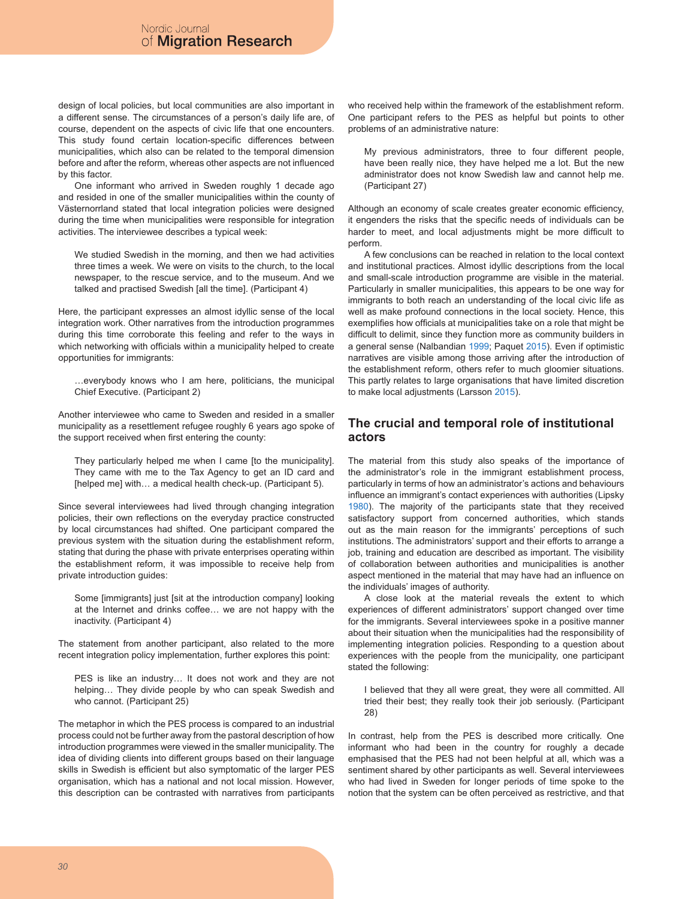design of local policies, but local communities are also important in a different sense. The circumstances of a person's daily life are, of course, dependent on the aspects of civic life that one encounters. This study found certain location-specific differences between municipalities, which also can be related to the temporal dimension before and after the reform, whereas other aspects are not influenced by this factor.

One informant who arrived in Sweden roughly 1 decade ago and resided in one of the smaller municipalities within the county of Västernorrland stated that local integration policies were designed during the time when municipalities were responsible for integration activities. The interviewee describes a typical week:

We studied Swedish in the morning, and then we had activities three times a week. We were on visits to the church, to the local newspaper, to the rescue service, and to the museum. And we talked and practised Swedish [all the time]. (Participant 4)

Here, the participant expresses an almost idyllic sense of the local integration work. Other narratives from the introduction programmes during this time corroborate this feeling and refer to the ways in which networking with officials within a municipality helped to create opportunities for immigrants:

…everybody knows who I am here, politicians, the municipal Chief Executive. (Participant 2)

Another interviewee who came to Sweden and resided in a smaller municipality as a resettlement refugee roughly 6 years ago spoke of the support received when first entering the county:

They particularly helped me when I came [to the municipality]. They came with me to the Tax Agency to get an ID card and [helped me] with… a medical health check-up. (Participant 5).

Since several interviewees had lived through changing integration policies, their own reflections on the everyday practice constructed by local circumstances had shifted. One participant compared the previous system with the situation during the establishment reform, stating that during the phase with private enterprises operating within the establishment reform, it was impossible to receive help from private introduction guides:

Some [immigrants] just [sit at the introduction company] looking at the Internet and drinks coffee… we are not happy with the inactivity. (Participant 4)

The statement from another participant, also related to the more recent integration policy implementation, further explores this point:

PES is like an industry… It does not work and they are not helping… They divide people by who can speak Swedish and who cannot. (Participant 25)

The metaphor in which the PES process is compared to an industrial process could not be further away from the pastoral description of how introduction programmes were viewed in the smaller municipality. The idea of dividing clients into different groups based on their language skills in Swedish is efficient but also symptomatic of the larger PES organisation, which has a national and not local mission. However, this description can be contrasted with narratives from participants who received help within the framework of the establishment reform. One participant refers to the PES as helpful but points to other problems of an administrative nature:

My previous administrators, three to four different people, have been really nice, they have helped me a lot. But the new administrator does not know Swedish law and cannot help me. (Participant 27)

Although an economy of scale creates greater economic efficiency, it engenders the risks that the specific needs of individuals can be harder to meet, and local adjustments might be more difficult to perform.

A few conclusions can be reached in relation to the local context and institutional practices. Almost idyllic descriptions from the local and small-scale introduction programme are visible in the material. Particularly in smaller municipalities, this appears to be one way for immigrants to both reach an understanding of the local civic life as well as make profound connections in the local society. Hence, this exemplifies how officials at municipalities take on a role that might be difficult to delimit, since they function more as community builders in a general sense (Nalbandian 1999; Paquet 2015). Even if optimistic narratives are visible among those arriving after the introduction of the establishment reform, others refer to much gloomier situations. This partly relates to large organisations that have limited discretion to make local adjustments (Larsson 2015).

### **The crucial and temporal role of institutional actors**

The material from this study also speaks of the importance of the administrator's role in the immigrant establishment process, particularly in terms of how an administrator's actions and behaviours influence an immigrant's contact experiences with authorities (Lipsky 1980). The majority of the participants state that they received satisfactory support from concerned authorities, which stands out as the main reason for the immigrants' perceptions of such institutions. The administrators' support and their efforts to arrange a job, training and education are described as important. The visibility of collaboration between authorities and municipalities is another aspect mentioned in the material that may have had an influence on the individuals' images of authority.

A close look at the material reveals the extent to which experiences of different administrators' support changed over time for the immigrants. Several interviewees spoke in a positive manner about their situation when the municipalities had the responsibility of implementing integration policies. Responding to a question about experiences with the people from the municipality, one participant stated the following:

I believed that they all were great, they were all committed. All tried their best; they really took their job seriously. (Participant 28)

In contrast, help from the PES is described more critically. One informant who had been in the country for roughly a decade emphasised that the PES had not been helpful at all, which was a sentiment shared by other participants as well. Several interviewees who had lived in Sweden for longer periods of time spoke to the notion that the system can be often perceived as restrictive, and that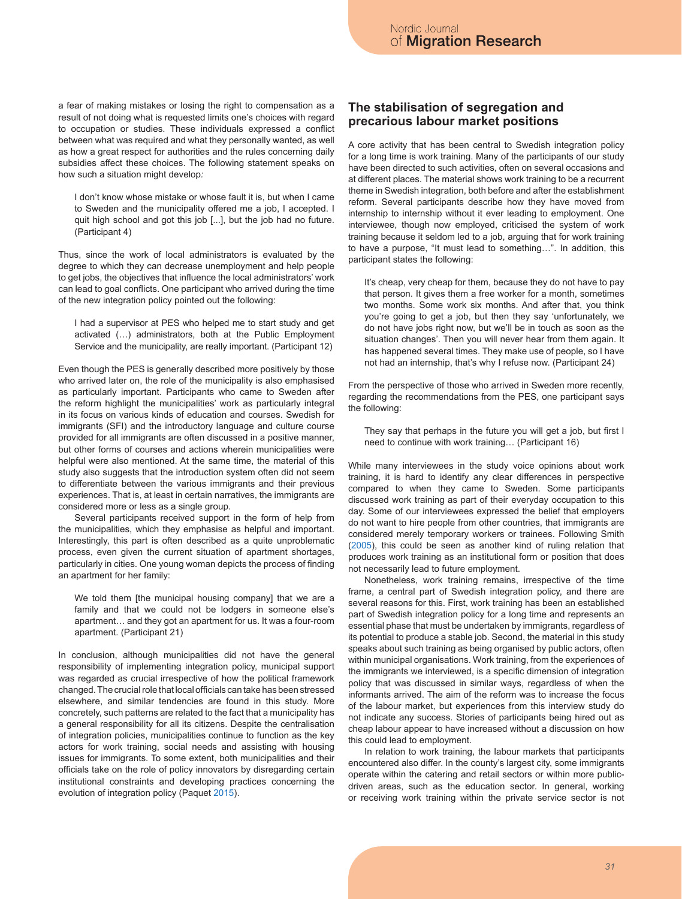a fear of making mistakes or losing the right to compensation as a result of not doing what is requested limits one's choices with regard to occupation or studies. These individuals expressed a conflict between what was required and what they personally wanted, as well as how a great respect for authorities and the rules concerning daily subsidies affect these choices. The following statement speaks on how such a situation might develop*:*

I don't know whose mistake or whose fault it is, but when I came to Sweden and the municipality offered me a job, I accepted. I quit high school and got this job [...], but the job had no future. (Participant 4)

Thus, since the work of local administrators is evaluated by the degree to which they can decrease unemployment and help people to get jobs, the objectives that influence the local administrators' work can lead to goal conflicts. One participant who arrived during the time of the new integration policy pointed out the following:

I had a supervisor at PES who helped me to start study and get activated (…) administrators, both at the Public Employment Service and the municipality, are really important. (Participant 12)

Even though the PES is generally described more positively by those who arrived later on, the role of the municipality is also emphasised as particularly important. Participants who came to Sweden after the reform highlight the municipalities' work as particularly integral in its focus on various kinds of education and courses. Swedish for immigrants (SFI) and the introductory language and culture course provided for all immigrants are often discussed in a positive manner, but other forms of courses and actions wherein municipalities were helpful were also mentioned. At the same time, the material of this study also suggests that the introduction system often did not seem to differentiate between the various immigrants and their previous experiences. That is, at least in certain narratives, the immigrants are considered more or less as a single group.

Several participants received support in the form of help from the municipalities, which they emphasise as helpful and important. Interestingly, this part is often described as a quite unproblematic process, even given the current situation of apartment shortages, particularly in cities. One young woman depicts the process of finding an apartment for her family:

We told them [the municipal housing company] that we are a family and that we could not be lodgers in someone else's apartment… and they got an apartment for us. It was a four-room apartment. (Participant 21)

In conclusion, although municipalities did not have the general responsibility of implementing integration policy, municipal support was regarded as crucial irrespective of how the political framework changed. The crucial role that local officials can take has been stressed elsewhere, and similar tendencies are found in this study. More concretely, such patterns are related to the fact that a municipality has a general responsibility for all its citizens. Despite the centralisation of integration policies, municipalities continue to function as the key actors for work training, social needs and assisting with housing issues for immigrants. To some extent, both municipalities and their officials take on the role of policy innovators by disregarding certain institutional constraints and developing practices concerning the evolution of integration policy (Paquet 2015).

### **The stabilisation of segregation and precarious labour market positions**

A core activity that has been central to Swedish integration policy for a long time is work training. Many of the participants of our study have been directed to such activities, often on several occasions and at different places. The material shows work training to be a recurrent theme in Swedish integration, both before and after the establishment reform. Several participants describe how they have moved from internship to internship without it ever leading to employment. One interviewee, though now employed, criticised the system of work training because it seldom led to a job, arguing that for work training to have a purpose, "It must lead to something…". In addition, this participant states the following:

It's cheap, very cheap for them, because they do not have to pay that person. It gives them a free worker for a month, sometimes two months. Some work six months. And after that, you think you're going to get a job, but then they say 'unfortunately, we do not have jobs right now, but we'll be in touch as soon as the situation changes'. Then you will never hear from them again. It has happened several times. They make use of people, so I have not had an internship, that's why I refuse now. (Participant 24)

From the perspective of those who arrived in Sweden more recently, regarding the recommendations from the PES, one participant says the following:

They say that perhaps in the future you will get a job, but first I need to continue with work training… (Participant 16)

While many interviewees in the study voice opinions about work training, it is hard to identify any clear differences in perspective compared to when they came to Sweden. Some participants discussed work training as part of their everyday occupation to this day. Some of our interviewees expressed the belief that employers do not want to hire people from other countries, that immigrants are considered merely temporary workers or trainees. Following Smith (2005), this could be seen as another kind of ruling relation that produces work training as an institutional form or position that does not necessarily lead to future employment.

Nonetheless, work training remains, irrespective of the time frame, a central part of Swedish integration policy, and there are several reasons for this. First, work training has been an established part of Swedish integration policy for a long time and represents an essential phase that must be undertaken by immigrants, regardless of its potential to produce a stable job. Second, the material in this study speaks about such training as being organised by public actors, often within municipal organisations. Work training, from the experiences of the immigrants we interviewed, is a specific dimension of integration policy that was discussed in similar ways, regardless of when the informants arrived. The aim of the reform was to increase the focus of the labour market, but experiences from this interview study do not indicate any success. Stories of participants being hired out as cheap labour appear to have increased without a discussion on how this could lead to employment.

In relation to work training, the labour markets that participants encountered also differ. In the county's largest city, some immigrants operate within the catering and retail sectors or within more publicdriven areas, such as the education sector. In general, working or receiving work training within the private service sector is not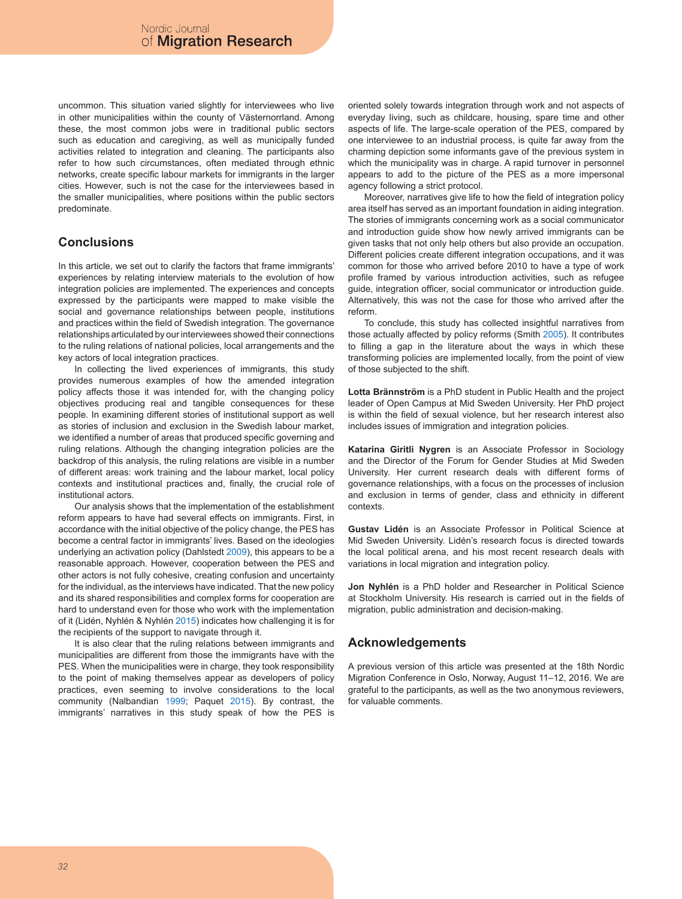uncommon. This situation varied slightly for interviewees who live in other municipalities within the county of Västernorrland. Among these, the most common jobs were in traditional public sectors such as education and caregiving, as well as municipally funded activities related to integration and cleaning. The participants also refer to how such circumstances, often mediated through ethnic networks, create specific labour markets for immigrants in the larger cities. However, such is not the case for the interviewees based in the smaller municipalities, where positions within the public sectors predominate.

# **Conclusions**

In this article, we set out to clarify the factors that frame immigrants' experiences by relating interview materials to the evolution of how integration policies are implemented. The experiences and concepts expressed by the participants were mapped to make visible the social and governance relationships between people, institutions and practices within the field of Swedish integration. The governance relationships articulated by our interviewees showed their connections to the ruling relations of national policies, local arrangements and the key actors of local integration practices.

In collecting the lived experiences of immigrants, this study provides numerous examples of how the amended integration policy affects those it was intended for, with the changing policy objectives producing real and tangible consequences for these people. In examining different stories of institutional support as well as stories of inclusion and exclusion in the Swedish labour market, we identified a number of areas that produced specific governing and ruling relations. Although the changing integration policies are the backdrop of this analysis, the ruling relations are visible in a number of different areas: work training and the labour market, local policy contexts and institutional practices and, finally, the crucial role of institutional actors.

Our analysis shows that the implementation of the establishment reform appears to have had several effects on immigrants. First, in accordance with the initial objective of the policy change, the PES has become a central factor in immigrants' lives. Based on the ideologies underlying an activation policy (Dahlstedt 2009), this appears to be a reasonable approach. However, cooperation between the PES and other actors is not fully cohesive, creating confusion and uncertainty for the individual, as the interviews have indicated. That the new policy and its shared responsibilities and complex forms for cooperation are hard to understand even for those who work with the implementation of it (Lidén, Nyhlén & Nyhlén 2015) indicates how challenging it is for the recipients of the support to navigate through it.

It is also clear that the ruling relations between immigrants and municipalities are different from those the immigrants have with the PES. When the municipalities were in charge, they took responsibility to the point of making themselves appear as developers of policy practices, even seeming to involve considerations to the local community (Nalbandian 1999; Paquet 2015). By contrast, the immigrants' narratives in this study speak of how the PES is oriented solely towards integration through work and not aspects of everyday living, such as childcare, housing, spare time and other aspects of life. The large-scale operation of the PES, compared by one interviewee to an industrial process, is quite far away from the charming depiction some informants gave of the previous system in which the municipality was in charge. A rapid turnover in personnel appears to add to the picture of the PES as a more impersonal agency following a strict protocol.

Moreover, narratives give life to how the field of integration policy area itself has served as an important foundation in aiding integration. The stories of immigrants concerning work as a social communicator and introduction guide show how newly arrived immigrants can be given tasks that not only help others but also provide an occupation. Different policies create different integration occupations, and it was common for those who arrived before 2010 to have a type of work profile framed by various introduction activities, such as refugee guide, integration officer, social communicator or introduction guide. Alternatively, this was not the case for those who arrived after the reform.

To conclude, this study has collected insightful narratives from those actually affected by policy reforms (Smith 2005). It contributes to filling a gap in the literature about the ways in which these transforming policies are implemented locally, from the point of view of those subjected to the shift.

**Lotta Brännström** is a PhD student in Public Health and the project leader of Open Campus at Mid Sweden University. Her PhD project is within the field of sexual violence, but her research interest also includes issues of immigration and integration policies.

**Katarina Giritli Nygren** is an Associate Professor in Sociology and the Director of the Forum for Gender Studies at Mid Sweden University. Her current research deals with different forms of governance relationships, with a focus on the processes of inclusion and exclusion in terms of gender, class and ethnicity in different contexts.

**Gustav Lidén** is an Associate Professor in Political Science at Mid Sweden University. Lidén's research focus is directed towards the local political arena, and his most recent research deals with variations in local migration and integration policy.

**Jon Nyhlén** is a PhD holder and Researcher in Political Science at Stockholm University. His research is carried out in the fields of migration, public administration and decision-making.

#### **Acknowledgements**

A previous version of this article was presented at the 18th Nordic Migration Conference in Oslo, Norway, August 11–12, 2016. We are grateful to the participants, as well as the two anonymous reviewers, for valuable comments.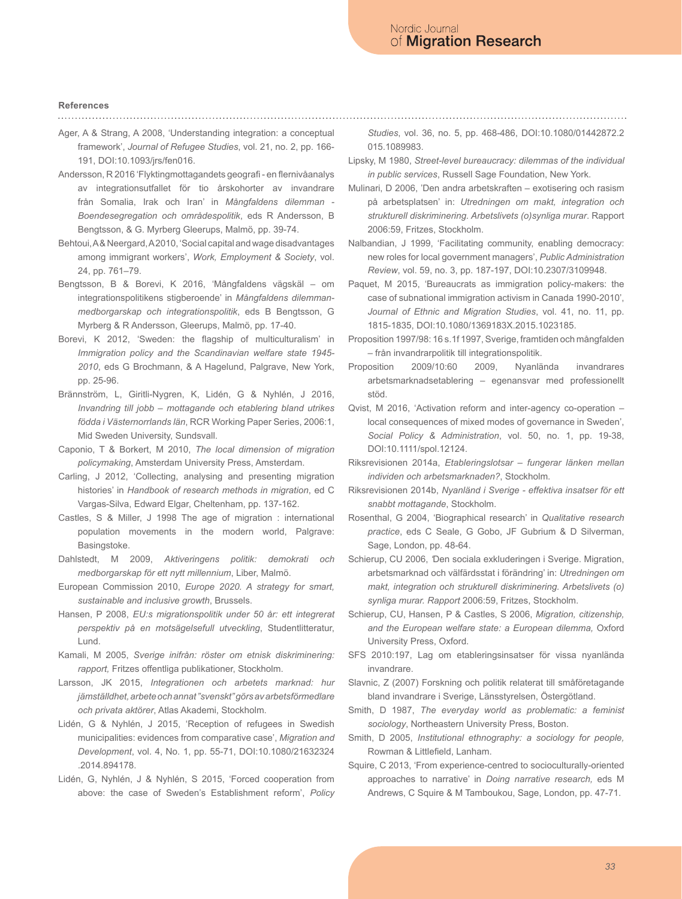#### **References**

Ager, A & Strang, A 2008, 'Understanding integration: a conceptual framework', *Journal of Refugee Studies*, vol. 21, no. 2, pp. 166- 191, DOI:10.1093/jrs/fen016.

- Andersson, R 2016 'Flyktingmottagandets geografi en flernivåanalys av integrationsutfallet för tio årskohorter av invandrare från Somalia, Irak och Iran' in *Mångfaldens dilemman - Boendesegregation och områdespolitik*, eds R Andersson, B Bengtsson, & G. Myrberg Gleerups, Malmö, pp. 39-74.
- Behtoui, A & Neergard, A 2010, 'Social capital and wage disadvantages among immigrant workers', *Work, Employment & Society*, vol. 24, pp. 761–79.
- Bengtsson, B & Borevi, K 2016, 'Mångfaldens vägskäl om integrationspolitikens stigberoende' in *Mångfaldens dilemmanmedborgarskap och integrationspolitik*, eds B Bengtsson, G Myrberg & R Andersson, Gleerups, Malmö, pp. 17-40.
- Borevi, K 2012, 'Sweden: the flagship of multiculturalism' in *Immigration policy and the Scandinavian welfare state 1945- 2010*, eds G Brochmann, & A Hagelund, Palgrave, New York, pp. 25-96.
- Brännström, L, Giritli-Nygren, K, Lidén, G & Nyhlén, J 2016, *Invandring till jobb – mottagande och etablering bland utrikes födda i Västernorrlands län*, RCR Working Paper Series, 2006:1, Mid Sweden University, Sundsvall.
- Caponio, T & Borkert, M 2010, *The local dimension of migration policymaking*, Amsterdam University Press, Amsterdam.
- Carling, J 2012, 'Collecting, analysing and presenting migration histories' in *Handbook of research methods in migration*, ed C Vargas-Silva, Edward Elgar, Cheltenham, pp. 137-162.
- Castles, S & Miller, J 1998 The age of migration : international population movements in the modern world, Palgrave: Basingstoke.
- Dahlstedt, M 2009, *Aktiveringens politik: demokrati och medborgarskap för ett nytt millennium*, Liber, Malmö.
- European Commission 2010, *Europe 2020. A strategy for smart, sustainable and inclusive growth*, Brussels.
- Hansen, P 2008, *EU:s migrationspolitik under 50 år: ett integrerat perspektiv på en motsägelsefull utveckling*, Studentlitteratur, Lund.
- Kamali, M 2005, *Sverige inifrån: röster om etnisk diskriminering: rapport,* Fritzes offentliga publikationer, Stockholm.
- Larsson, JK 2015, *Integrationen och arbetets marknad: hur jämställdhet, arbete och annat "svenskt" görs av arbetsförmedlare och privata aktörer*, Atlas Akademi, Stockholm.
- Lidén, G & Nyhlén, J 2015, 'Reception of refugees in Swedish municipalities: evidences from comparative case', *Migration and Development*, vol. 4, No. 1, pp. 55-71, DOI:10.1080/21632324 .2014.894178.
- Lidén, G, Nyhlén, J & Nyhlén, S 2015, 'Forced cooperation from above: the case of Sweden's Establishment reform', *Policy*

*Studies*, vol. 36, no. 5, pp. 468-486, DOI:10.1080/01442872.2 015.1089983.

- Lipsky, M 1980, *Street-level bureaucracy: dilemmas of the individual in public services*, Russell Sage Foundation, New York.
- Mulinari, D 2006, 'Den andra arbetskraften exotisering och rasism på arbetsplatsen' in: *Utredningen om makt, integration och strukturell diskriminering. Arbetslivets (o)synliga murar*. Rapport 2006:59, Fritzes, Stockholm.

Nalbandian, J 1999, 'Facilitating community, enabling democracy: new roles for local government managers', *Public Administration Review*, vol. 59, no. 3, pp. 187-197, DOI:10.2307/3109948.

- Paquet, M 2015, 'Bureaucrats as immigration policy-makers: the case of subnational immigration activism in Canada 1990-2010', *Journal of Ethnic and Migration Studies*, vol. 41, no. 11, pp. 1815-1835, DOI:10.1080/1369183X.2015.1023185.
- Proposition 1997/98: 16 s.1f 1997, Sverige, framtiden och mångfalden – från invandrarpolitik till integrationspolitik.
- Proposition 2009/10:60 2009, Nyanlända invandrares arbetsmarknadsetablering – egenansvar med professionellt stöd.
- Qvist, M 2016, 'Activation reform and inter-agency co-operation local consequences of mixed modes of governance in Sweden', *Social Policy & Administration*, vol. 50, no. 1, pp. 19-38, DOI:10.1111/spol.12124.
- Riksrevisionen 2014a, *Etableringslotsar fungerar länken mellan individen och arbetsmarknaden?*, Stockholm.
- Riksrevisionen 2014b, *Nyanländ i Sverige effektiva insatser för ett snabbt mottagande*, Stockholm.
- Rosenthal, G 2004, 'Biographical research' in *Qualitative research practice*, eds C Seale, G Gobo, JF Gubrium & D Silverman, Sage, London, pp. 48-64.
- Schierup, CU 2006, *'*Den sociala exkluderingen i Sverige. Migration, arbetsmarknad och välfärdsstat i förändring' in: *Utredningen om makt, integration och strukturell diskriminering. Arbetslivets (o) synliga murar. Rapport* 2006:59, Fritzes, Stockholm.
- Schierup, CU, Hansen, P & Castles, S 2006, *Migration, citizenship, and the European welfare state: a European dilemma,* Oxford University Press, Oxford.
- SFS 2010:197, Lag om etableringsinsatser för vissa nyanlända invandrare.
- Slavnic, Z (2007) Forskning och politik relaterat till småföretagande bland invandrare i Sverige, Länsstyrelsen, Östergötland.
- Smith, D 1987, *The everyday world as problematic: a feminist sociology*, Northeastern University Press, Boston.
- Smith, D 2005, *Institutional ethnography: a sociology for people,*  Rowman & Littlefield, Lanham.
- Squire, C 2013, 'From experience-centred to socioculturally-oriented approaches to narrative' in *Doing narrative research,* eds M Andrews, C Squire & M Tamboukou, Sage, London, pp. 47-71.